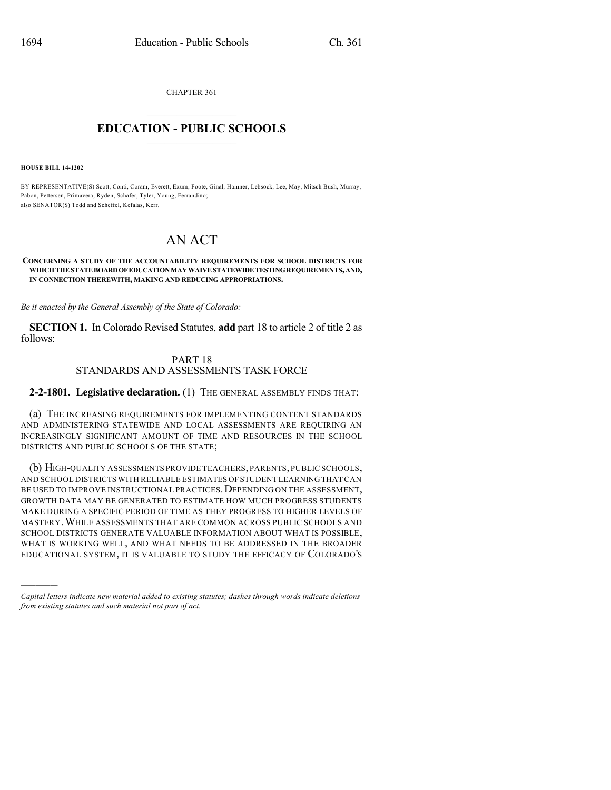CHAPTER 361

## $\mathcal{L}_\text{max}$  . The set of the set of the set of the set of the set of the set of the set of the set of the set of the set of the set of the set of the set of the set of the set of the set of the set of the set of the set **EDUCATION - PUBLIC SCHOOLS**  $\_$   $\_$   $\_$   $\_$   $\_$   $\_$   $\_$   $\_$   $\_$

**HOUSE BILL 14-1202**

)))))

BY REPRESENTATIVE(S) Scott, Conti, Coram, Everett, Exum, Foote, Ginal, Hamner, Lebsock, Lee, May, Mitsch Bush, Murray, Pabon, Pettersen, Primavera, Ryden, Schafer, Tyler, Young, Ferrandino; also SENATOR(S) Todd and Scheffel, Kefalas, Kerr.

## AN ACT

## **CONCERNING A STUDY OF THE ACCOUNTABILITY REQUIREMENTS FOR SCHOOL DISTRICTS FOR WHICHTHESTATEBOARDOFEDUCATIONMAYWAIVESTATEWIDETESTINGREQUIREMENTS,AND, IN CONNECTION THEREWITH, MAKING AND REDUCING APPROPRIATIONS.**

*Be it enacted by the General Assembly of the State of Colorado:*

**SECTION 1.** In Colorado Revised Statutes, **add** part 18 to article 2 of title 2 as follows:

## PART 18 STANDARDS AND ASSESSMENTS TASK FORCE

**2-2-1801. Legislative declaration.** (1) THE GENERAL ASSEMBLY FINDS THAT:

(a) THE INCREASING REQUIREMENTS FOR IMPLEMENTING CONTENT STANDARDS AND ADMINISTERING STATEWIDE AND LOCAL ASSESSMENTS ARE REQUIRING AN INCREASINGLY SIGNIFICANT AMOUNT OF TIME AND RESOURCES IN THE SCHOOL DISTRICTS AND PUBLIC SCHOOLS OF THE STATE;

(b) HIGH-QUALITY ASSESSMENTS PROVIDE TEACHERS,PARENTS,PUBLIC SCHOOLS, AND SCHOOL DISTRICTS WITH RELIABLE ESTIMATES OFSTUDENT LEARNINGTHAT CAN BE USED TO IMPROVE INSTRUCTIONAL PRACTICES. DEPENDING ON THE ASSESSMENT, GROWTH DATA MAY BE GENERATED TO ESTIMATE HOW MUCH PROGRESS STUDENTS MAKE DURING A SPECIFIC PERIOD OF TIME AS THEY PROGRESS TO HIGHER LEVELS OF MASTERY.WHILE ASSESSMENTS THAT ARE COMMON ACROSS PUBLIC SCHOOLS AND SCHOOL DISTRICTS GENERATE VALUABLE INFORMATION ABOUT WHAT IS POSSIBLE, WHAT IS WORKING WELL, AND WHAT NEEDS TO BE ADDRESSED IN THE BROADER EDUCATIONAL SYSTEM, IT IS VALUABLE TO STUDY THE EFFICACY OF COLORADO'S

*Capital letters indicate new material added to existing statutes; dashes through words indicate deletions from existing statutes and such material not part of act.*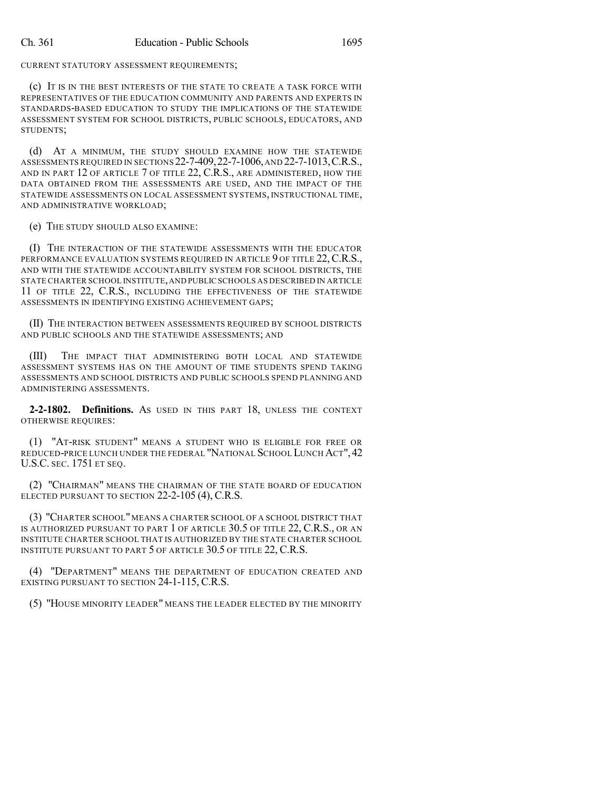CURRENT STATUTORY ASSESSMENT REQUIREMENTS;

(c) IT IS IN THE BEST INTERESTS OF THE STATE TO CREATE A TASK FORCE WITH REPRESENTATIVES OF THE EDUCATION COMMUNITY AND PARENTS AND EXPERTS IN STANDARDS-BASED EDUCATION TO STUDY THE IMPLICATIONS OF THE STATEWIDE ASSESSMENT SYSTEM FOR SCHOOL DISTRICTS, PUBLIC SCHOOLS, EDUCATORS, AND STUDENTS;

(d) AT A MINIMUM, THE STUDY SHOULD EXAMINE HOW THE STATEWIDE ASSESSMENTS REQUIRED IN SECTIONS 22-7-409,22-7-1006,AND 22-7-1013,C.R.S., AND IN PART 12 OF ARTICLE 7 OF TITLE 22, C.R.S., ARE ADMINISTERED, HOW THE DATA OBTAINED FROM THE ASSESSMENTS ARE USED, AND THE IMPACT OF THE STATEWIDE ASSESSMENTS ON LOCAL ASSESSMENT SYSTEMS, INSTRUCTIONAL TIME, AND ADMINISTRATIVE WORKLOAD;

(e) THE STUDY SHOULD ALSO EXAMINE:

(I) THE INTERACTION OF THE STATEWIDE ASSESSMENTS WITH THE EDUCATOR PERFORMANCE EVALUATION SYSTEMS REQUIRED IN ARTICLE 9 OF TITLE 22, C.R.S., AND WITH THE STATEWIDE ACCOUNTABILITY SYSTEM FOR SCHOOL DISTRICTS, THE STATE CHARTER SCHOOL INSTITUTE,AND PUBLIC SCHOOLS AS DESCRIBED IN ARTICLE 11 OF TITLE 22, C.R.S., INCLUDING THE EFFECTIVENESS OF THE STATEWIDE ASSESSMENTS IN IDENTIFYING EXISTING ACHIEVEMENT GAPS;

(II) THE INTERACTION BETWEEN ASSESSMENTS REQUIRED BY SCHOOL DISTRICTS AND PUBLIC SCHOOLS AND THE STATEWIDE ASSESSMENTS; AND

(III) THE IMPACT THAT ADMINISTERING BOTH LOCAL AND STATEWIDE ASSESSMENT SYSTEMS HAS ON THE AMOUNT OF TIME STUDENTS SPEND TAKING ASSESSMENTS AND SCHOOL DISTRICTS AND PUBLIC SCHOOLS SPEND PLANNING AND ADMINISTERING ASSESSMENTS.

**2-2-1802. Definitions.** AS USED IN THIS PART 18, UNLESS THE CONTEXT OTHERWISE REQUIRES:

(1) "AT-RISK STUDENT" MEANS A STUDENT WHO IS ELIGIBLE FOR FREE OR REDUCED-PRICE LUNCH UNDER THE FEDERAL "NATIONAL SCHOOL LUNCH ACT",42 U.S.C. SEC. 1751 ET SEQ.

(2) "CHAIRMAN" MEANS THE CHAIRMAN OF THE STATE BOARD OF EDUCATION ELECTED PURSUANT TO SECTION 22-2-105 (4), C.R.S.

(3) "CHARTER SCHOOL" MEANS A CHARTER SCHOOL OF A SCHOOL DISTRICT THAT IS AUTHORIZED PURSUANT TO PART 1 OF ARTICLE 30.5 OF TITLE 22, C.R.S., OR AN INSTITUTE CHARTER SCHOOL THAT IS AUTHORIZED BY THE STATE CHARTER SCHOOL INSTITUTE PURSUANT TO PART 5 OF ARTICLE 30.5 OF TITLE 22, C.R.S.

(4) "DEPARTMENT" MEANS THE DEPARTMENT OF EDUCATION CREATED AND EXISTING PURSUANT TO SECTION 24-1-115, C.R.S.

(5) "HOUSE MINORITY LEADER" MEANS THE LEADER ELECTED BY THE MINORITY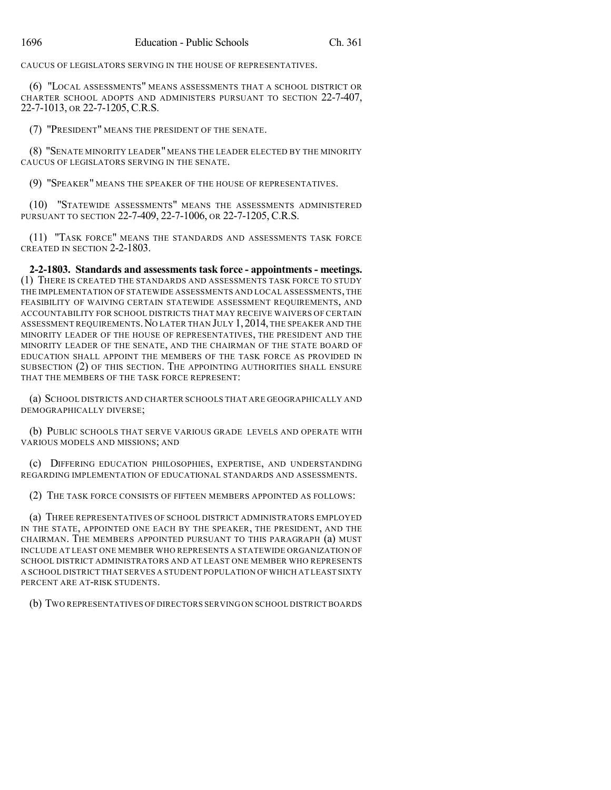CAUCUS OF LEGISLATORS SERVING IN THE HOUSE OF REPRESENTATIVES.

(6) "LOCAL ASSESSMENTS" MEANS ASSESSMENTS THAT A SCHOOL DISTRICT OR CHARTER SCHOOL ADOPTS AND ADMINISTERS PURSUANT TO SECTION 22-7-407, 22-7-1013, OR 22-7-1205, C.R.S.

(7) "PRESIDENT" MEANS THE PRESIDENT OF THE SENATE.

(8) "SENATE MINORITY LEADER" MEANS THE LEADER ELECTED BY THE MINORITY CAUCUS OF LEGISLATORS SERVING IN THE SENATE.

(9) "SPEAKER" MEANS THE SPEAKER OF THE HOUSE OF REPRESENTATIVES.

(10) "STATEWIDE ASSESSMENTS" MEANS THE ASSESSMENTS ADMINISTERED PURSUANT TO SECTION 22-7-409, 22-7-1006, OR 22-7-1205, C.R.S.

(11) "TASK FORCE" MEANS THE STANDARDS AND ASSESSMENTS TASK FORCE CREATED IN SECTION 2-2-1803.

**2-2-1803. Standards and assessments task force - appointments - meetings.** (1) THERE IS CREATED THE STANDARDS AND ASSESSMENTS TASK FORCE TO STUDY THE IMPLEMENTATION OF STATEWIDE ASSESSMENTS AND LOCAL ASSESSMENTS, THE FEASIBILITY OF WAIVING CERTAIN STATEWIDE ASSESSMENT REQUIREMENTS, AND ACCOUNTABILITY FOR SCHOOL DISTRICTS THAT MAY RECEIVE WAIVERS OF CERTAIN ASSESSMENT REQUIREMENTS.NO LATER THAN JULY 1,2014, THE SPEAKER AND THE MINORITY LEADER OF THE HOUSE OF REPRESENTATIVES, THE PRESIDENT AND THE MINORITY LEADER OF THE SENATE, AND THE CHAIRMAN OF THE STATE BOARD OF EDUCATION SHALL APPOINT THE MEMBERS OF THE TASK FORCE AS PROVIDED IN SUBSECTION (2) OF THIS SECTION. THE APPOINTING AUTHORITIES SHALL ENSURE THAT THE MEMBERS OF THE TASK FORCE REPRESENT:

(a) SCHOOL DISTRICTS AND CHARTER SCHOOLS THAT ARE GEOGRAPHICALLY AND DEMOGRAPHICALLY DIVERSE;

(b) PUBLIC SCHOOLS THAT SERVE VARIOUS GRADE LEVELS AND OPERATE WITH VARIOUS MODELS AND MISSIONS; AND

(c) DIFFERING EDUCATION PHILOSOPHIES, EXPERTISE, AND UNDERSTANDING REGARDING IMPLEMENTATION OF EDUCATIONAL STANDARDS AND ASSESSMENTS.

(2) THE TASK FORCE CONSISTS OF FIFTEEN MEMBERS APPOINTED AS FOLLOWS:

(a) THREE REPRESENTATIVES OF SCHOOL DISTRICT ADMINISTRATORS EMPLOYED IN THE STATE, APPOINTED ONE EACH BY THE SPEAKER, THE PRESIDENT, AND THE CHAIRMAN. THE MEMBERS APPOINTED PURSUANT TO THIS PARAGRAPH (a) MUST INCLUDE AT LEAST ONE MEMBER WHO REPRESENTS A STATEWIDE ORGANIZATION OF SCHOOL DISTRICT ADMINISTRATORS AND AT LEAST ONE MEMBER WHO REPRESENTS A SCHOOL DISTRICT THAT SERVES A STUDENT POPULATION OF WHICH AT LEAST SIXTY PERCENT ARE AT-RISK STUDENTS.

(b) TWO REPRESENTATIVES OF DIRECTORS SERVING ON SCHOOL DISTRICT BOARDS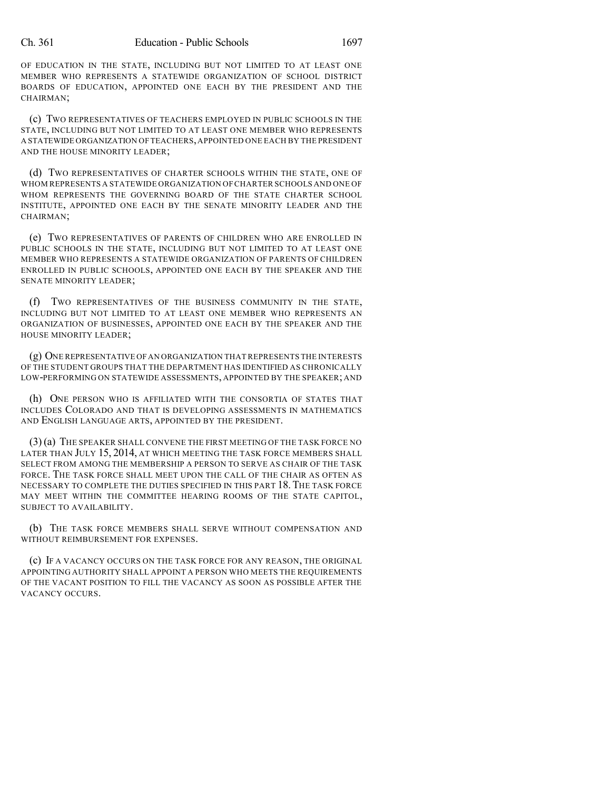OF EDUCATION IN THE STATE, INCLUDING BUT NOT LIMITED TO AT LEAST ONE MEMBER WHO REPRESENTS A STATEWIDE ORGANIZATION OF SCHOOL DISTRICT BOARDS OF EDUCATION, APPOINTED ONE EACH BY THE PRESIDENT AND THE CHAIRMAN;

(c) TWO REPRESENTATIVES OF TEACHERS EMPLOYED IN PUBLIC SCHOOLS IN THE STATE, INCLUDING BUT NOT LIMITED TO AT LEAST ONE MEMBER WHO REPRESENTS A STATEWIDE ORGANIZATION OF TEACHERS,APPOINTED ONE EACH BY THE PRESIDENT AND THE HOUSE MINORITY LEADER;

(d) TWO REPRESENTATIVES OF CHARTER SCHOOLS WITHIN THE STATE, ONE OF WHOM REPRESENTS A STATEWIDE ORGANIZATION OFCHARTER SCHOOLS AND ONE OF WHOM REPRESENTS THE GOVERNING BOARD OF THE STATE CHARTER SCHOOL INSTITUTE, APPOINTED ONE EACH BY THE SENATE MINORITY LEADER AND THE CHAIRMAN;

(e) TWO REPRESENTATIVES OF PARENTS OF CHILDREN WHO ARE ENROLLED IN PUBLIC SCHOOLS IN THE STATE, INCLUDING BUT NOT LIMITED TO AT LEAST ONE MEMBER WHO REPRESENTS A STATEWIDE ORGANIZATION OF PARENTS OF CHILDREN ENROLLED IN PUBLIC SCHOOLS, APPOINTED ONE EACH BY THE SPEAKER AND THE SENATE MINORITY LEADER;

(f) TWO REPRESENTATIVES OF THE BUSINESS COMMUNITY IN THE STATE, INCLUDING BUT NOT LIMITED TO AT LEAST ONE MEMBER WHO REPRESENTS AN ORGANIZATION OF BUSINESSES, APPOINTED ONE EACH BY THE SPEAKER AND THE HOUSE MINORITY LEADER;

(g) ONE REPRESENTATIVE OFAN ORGANIZATION THATREPRESENTS THE INTERESTS OF THE STUDENT GROUPS THAT THE DEPARTMENT HAS IDENTIFIED AS CHRONICALLY LOW-PERFORMING ON STATEWIDE ASSESSMENTS, APPOINTED BY THE SPEAKER; AND

(h) ONE PERSON WHO IS AFFILIATED WITH THE CONSORTIA OF STATES THAT INCLUDES COLORADO AND THAT IS DEVELOPING ASSESSMENTS IN MATHEMATICS AND ENGLISH LANGUAGE ARTS, APPOINTED BY THE PRESIDENT.

(3) (a) THE SPEAKER SHALL CONVENE THE FIRST MEETING OF THE TASK FORCE NO LATER THAN JULY 15, 2014, AT WHICH MEETING THE TASK FORCE MEMBERS SHALL SELECT FROM AMONG THE MEMBERSHIP A PERSON TO SERVE AS CHAIR OF THE TASK FORCE. THE TASK FORCE SHALL MEET UPON THE CALL OF THE CHAIR AS OFTEN AS NECESSARY TO COMPLETE THE DUTIES SPECIFIED IN THIS PART 18. THE TASK FORCE MAY MEET WITHIN THE COMMITTEE HEARING ROOMS OF THE STATE CAPITOL, SUBJECT TO AVAILABILITY.

(b) THE TASK FORCE MEMBERS SHALL SERVE WITHOUT COMPENSATION AND WITHOUT REIMBURSEMENT FOR EXPENSES.

(c) IF A VACANCY OCCURS ON THE TASK FORCE FOR ANY REASON, THE ORIGINAL APPOINTING AUTHORITY SHALL APPOINT A PERSON WHO MEETS THE REQUIREMENTS OF THE VACANT POSITION TO FILL THE VACANCY AS SOON AS POSSIBLE AFTER THE VACANCY OCCURS.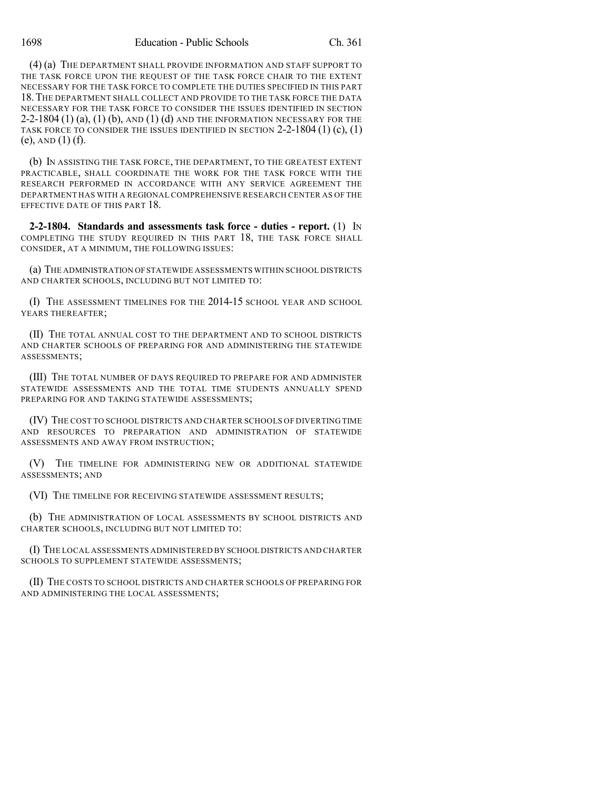(4) (a) THE DEPARTMENT SHALL PROVIDE INFORMATION AND STAFF SUPPORT TO THE TASK FORCE UPON THE REQUEST OF THE TASK FORCE CHAIR TO THE EXTENT NECESSARY FOR THE TASK FORCE TO COMPLETE THE DUTIES SPECIFIED IN THIS PART 18.THE DEPARTMENT SHALL COLLECT AND PROVIDE TO THE TASK FORCE THE DATA NECESSARY FOR THE TASK FORCE TO CONSIDER THE ISSUES IDENTIFIED IN SECTION  $2-2-1804$  (1) (a), (1) (b), and (1) (d) and the information necessary for the TASK FORCE TO CONSIDER THE ISSUES IDENTIFIED IN SECTION  $2-2-1804(1)(c)$ , (1)  $(e)$ , AND  $(1)$   $(f)$ .

(b) IN ASSISTING THE TASK FORCE, THE DEPARTMENT, TO THE GREATEST EXTENT PRACTICABLE, SHALL COORDINATE THE WORK FOR THE TASK FORCE WITH THE RESEARCH PERFORMED IN ACCORDANCE WITH ANY SERVICE AGREEMENT THE DEPARTMENT HAS WITH A REGIONAL COMPREHENSIVE RESEARCH CENTER AS OF THE EFFECTIVE DATE OF THIS PART 18.

**2-2-1804. Standards and assessments task force - duties - report.** (1) IN COMPLETING THE STUDY REQUIRED IN THIS PART 18, THE TASK FORCE SHALL CONSIDER, AT A MINIMUM, THE FOLLOWING ISSUES:

(a) THE ADMINISTRATION OFSTATEWIDE ASSESSMENTS WITHIN SCHOOL DISTRICTS AND CHARTER SCHOOLS, INCLUDING BUT NOT LIMITED TO:

(I) THE ASSESSMENT TIMELINES FOR THE 2014-15 SCHOOL YEAR AND SCHOOL YEARS THEREAFTER;

(II) THE TOTAL ANNUAL COST TO THE DEPARTMENT AND TO SCHOOL DISTRICTS AND CHARTER SCHOOLS OF PREPARING FOR AND ADMINISTERING THE STATEWIDE ASSESSMENTS;

(III) THE TOTAL NUMBER OF DAYS REQUIRED TO PREPARE FOR AND ADMINISTER STATEWIDE ASSESSMENTS AND THE TOTAL TIME STUDENTS ANNUALLY SPEND PREPARING FOR AND TAKING STATEWIDE ASSESSMENTS;

(IV) THE COST TO SCHOOL DISTRICTS AND CHARTER SCHOOLS OF DIVERTING TIME AND RESOURCES TO PREPARATION AND ADMINISTRATION OF STATEWIDE ASSESSMENTS AND AWAY FROM INSTRUCTION;

(V) THE TIMELINE FOR ADMINISTERING NEW OR ADDITIONAL STATEWIDE ASSESSMENTS; AND

(VI) THE TIMELINE FOR RECEIVING STATEWIDE ASSESSMENT RESULTS;

(b) THE ADMINISTRATION OF LOCAL ASSESSMENTS BY SCHOOL DISTRICTS AND CHARTER SCHOOLS, INCLUDING BUT NOT LIMITED TO:

(I) THE LOCAL ASSESSMENTS ADMINISTERED BY SCHOOL DISTRICTS AND CHARTER SCHOOLS TO SUPPLEMENT STATEWIDE ASSESSMENTS;

(II) THE COSTS TO SCHOOL DISTRICTS AND CHARTER SCHOOLS OF PREPARING FOR AND ADMINISTERING THE LOCAL ASSESSMENTS;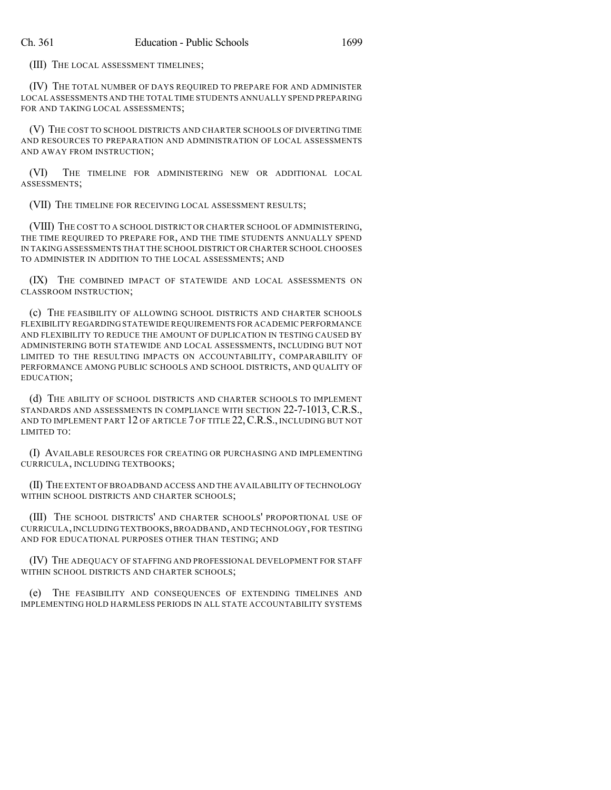(III) THE LOCAL ASSESSMENT TIMELINES;

(IV) THE TOTAL NUMBER OF DAYS REQUIRED TO PREPARE FOR AND ADMINISTER LOCAL ASSESSMENTS AND THE TOTAL TIME STUDENTS ANNUALLY SPEND PREPARING FOR AND TAKING LOCAL ASSESSMENTS;

(V) THE COST TO SCHOOL DISTRICTS AND CHARTER SCHOOLS OF DIVERTING TIME AND RESOURCES TO PREPARATION AND ADMINISTRATION OF LOCAL ASSESSMENTS AND AWAY FROM INSTRUCTION;

(VI) THE TIMELINE FOR ADMINISTERING NEW OR ADDITIONAL LOCAL ASSESSMENTS;

(VII) THE TIMELINE FOR RECEIVING LOCAL ASSESSMENT RESULTS;

(VIII) THE COST TO A SCHOOL DISTRICT OR CHARTER SCHOOL OF ADMINISTERING, THE TIME REQUIRED TO PREPARE FOR, AND THE TIME STUDENTS ANNUALLY SPEND IN TAKING ASSESSMENTS THAT THE SCHOOL DISTRICT OR CHARTER SCHOOL CHOOSES TO ADMINISTER IN ADDITION TO THE LOCAL ASSESSMENTS; AND

(IX) THE COMBINED IMPACT OF STATEWIDE AND LOCAL ASSESSMENTS ON CLASSROOM INSTRUCTION;

(c) THE FEASIBILITY OF ALLOWING SCHOOL DISTRICTS AND CHARTER SCHOOLS FLEXIBILITY REGARDING STATEWIDE REQUIREMENTS FOR ACADEMIC PERFORMANCE AND FLEXIBILITY TO REDUCE THE AMOUNT OF DUPLICATION IN TESTING CAUSED BY ADMINISTERING BOTH STATEWIDE AND LOCAL ASSESSMENTS, INCLUDING BUT NOT LIMITED TO THE RESULTING IMPACTS ON ACCOUNTABILITY, COMPARABILITY OF PERFORMANCE AMONG PUBLIC SCHOOLS AND SCHOOL DISTRICTS, AND QUALITY OF EDUCATION;

(d) THE ABILITY OF SCHOOL DISTRICTS AND CHARTER SCHOOLS TO IMPLEMENT STANDARDS AND ASSESSMENTS IN COMPLIANCE WITH SECTION 22-7-1013, C.R.S., AND TO IMPLEMENT PART  $12$  of article 7 of title 22, C.R.S., INCLUDING BUT NOT LIMITED TO:

(I) AVAILABLE RESOURCES FOR CREATING OR PURCHASING AND IMPLEMENTING CURRICULA, INCLUDING TEXTBOOKS;

(II) THE EXTENT OF BROADBAND ACCESS AND THE AVAILABILITY OF TECHNOLOGY WITHIN SCHOOL DISTRICTS AND CHARTER SCHOOLS:

(III) THE SCHOOL DISTRICTS' AND CHARTER SCHOOLS' PROPORTIONAL USE OF CURRICULA,INCLUDING TEXTBOOKS,BROADBAND,AND TECHNOLOGY,FOR TESTING AND FOR EDUCATIONAL PURPOSES OTHER THAN TESTING; AND

(IV) THE ADEQUACY OF STAFFING AND PROFESSIONAL DEVELOPMENT FOR STAFF WITHIN SCHOOL DISTRICTS AND CHARTER SCHOOLS;

(e) THE FEASIBILITY AND CONSEQUENCES OF EXTENDING TIMELINES AND IMPLEMENTING HOLD HARMLESS PERIODS IN ALL STATE ACCOUNTABILITY SYSTEMS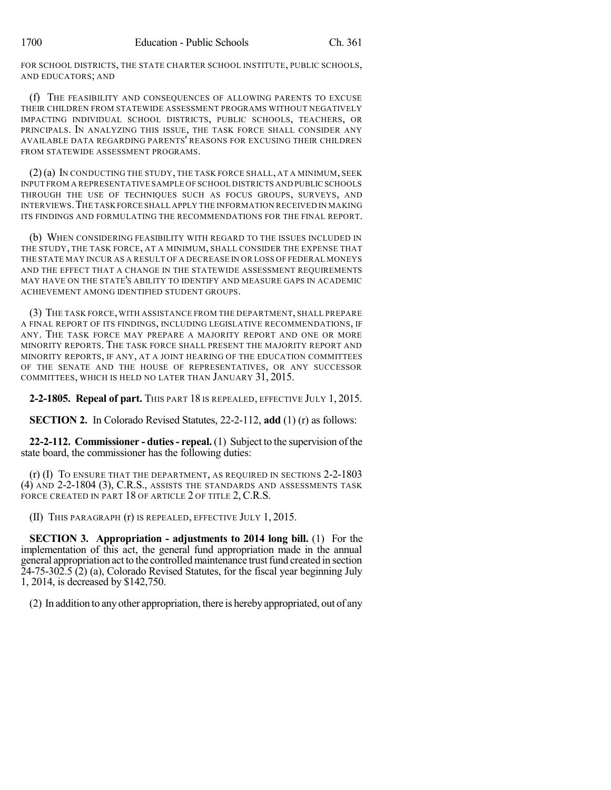FOR SCHOOL DISTRICTS, THE STATE CHARTER SCHOOL INSTITUTE, PUBLIC SCHOOLS, AND EDUCATORS; AND

(f) THE FEASIBILITY AND CONSEQUENCES OF ALLOWING PARENTS TO EXCUSE THEIR CHILDREN FROM STATEWIDE ASSESSMENT PROGRAMS WITHOUT NEGATIVELY IMPACTING INDIVIDUAL SCHOOL DISTRICTS, PUBLIC SCHOOLS, TEACHERS, OR PRINCIPALS. IN ANALYZING THIS ISSUE, THE TASK FORCE SHALL CONSIDER ANY AVAILABLE DATA REGARDING PARENTS' REASONS FOR EXCUSING THEIR CHILDREN FROM STATEWIDE ASSESSMENT PROGRAMS.

 $(2)(a)$  In conducting the study, the task force shall, at a minimum, seek INPUT FROM A REPRESENTATIVE SAMPLE OF SCHOOL DISTRICTS AND PUBLIC SCHOOLS THROUGH THE USE OF TECHNIQUES SUCH AS FOCUS GROUPS, SURVEYS, AND INTERVIEWS.THE TASK FORCE SHALL APPLY THE INFORMATION RECEIVED IN MAKING ITS FINDINGS AND FORMULATING THE RECOMMENDATIONS FOR THE FINAL REPORT.

(b) WHEN CONSIDERING FEASIBILITY WITH REGARD TO THE ISSUES INCLUDED IN THE STUDY, THE TASK FORCE, AT A MINIMUM, SHALL CONSIDER THE EXPENSE THAT THE STATE MAY INCUR AS A RESULT OF A DECREASE IN OR LOSS OF FEDERAL MONEYS AND THE EFFECT THAT A CHANGE IN THE STATEWIDE ASSESSMENT REQUIREMENTS MAY HAVE ON THE STATE'S ABILITY TO IDENTIFY AND MEASURE GAPS IN ACADEMIC ACHIEVEMENT AMONG IDENTIFIED STUDENT GROUPS.

(3) THE TASK FORCE, WITH ASSISTANCE FROM THE DEPARTMENT, SHALL PREPARE A FINAL REPORT OF ITS FINDINGS, INCLUDING LEGISLATIVE RECOMMENDATIONS, IF ANY. THE TASK FORCE MAY PREPARE A MAJORITY REPORT AND ONE OR MORE MINORITY REPORTS. THE TASK FORCE SHALL PRESENT THE MAJORITY REPORT AND MINORITY REPORTS, IF ANY, AT A JOINT HEARING OF THE EDUCATION COMMITTEES OF THE SENATE AND THE HOUSE OF REPRESENTATIVES, OR ANY SUCCESSOR COMMITTEES, WHICH IS HELD NO LATER THAN JANUARY 31, 2015.

**2-2-1805. Repeal of part.** THIS PART 18 IS REPEALED, EFFECTIVE JULY 1, 2015.

**SECTION 2.** In Colorado Revised Statutes, 22-2-112, **add** (1) (r) as follows:

**22-2-112. Commissioner - duties- repeal.** (1) Subject to the supervision of the state board, the commissioner has the following duties:

(r) (I) TO ENSURE THAT THE DEPARTMENT, AS REQUIRED IN SECTIONS 2-2-1803 (4) AND 2-2-1804 (3), C.R.S., ASSISTS THE STANDARDS AND ASSESSMENTS TASK FORCE CREATED IN PART 18 OF ARTICLE 2 OF TITLE 2, C.R.S.

(II) THIS PARAGRAPH (r) IS REPEALED, EFFECTIVE JULY 1, 2015.

**SECTION 3. Appropriation - adjustments to 2014 long bill.** (1) For the implementation of this act, the general fund appropriation made in the annual general appropriation act to the controlled maintenance trust fund created in section 24-75-302.5 (2) (a), Colorado Revised Statutes, for the fiscal year beginning July 1, 2014, is decreased by \$142,750.

(2) In addition to anyother appropriation, there is herebyappropriated, out of any